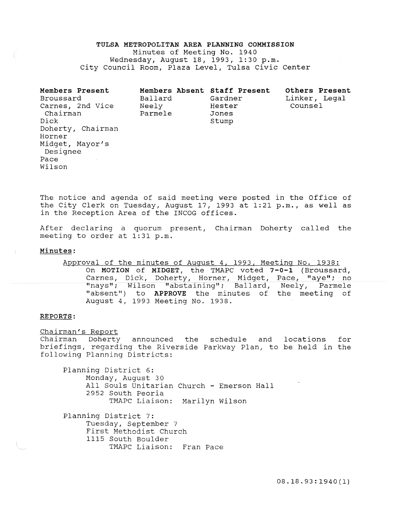# TULSA METROPOLITAN AREA PLANNING COMMISSION

Minutes of Meeting No. 1940 Wednesday, August 18, 1993, 1:30 p.m. City Council Room, Plaza Level, Tulsa Civic Center

| Members Present<br>Broussard<br>Carnes, 2nd Vice<br>Chairman<br>Dick<br>Horner<br>Midget, Mayor's<br>Designee<br>Pace | Doherty, Chairman | Members Absent Staff Present<br>Ballard<br>Neely<br>Parmele | Gardner<br>Hester<br>Jones<br>Stump | Linker, Legal<br>Counsel | Others Present |
|-----------------------------------------------------------------------------------------------------------------------|-------------------|-------------------------------------------------------------|-------------------------------------|--------------------------|----------------|
| Wilson                                                                                                                |                   |                                                             |                                     |                          |                |

The notice and agenda of said meeting were posted in the Office of the City Clerk on Tuesday, August 17, 1993 at 1:21 p.m., as well as in the Reception Area of the INCOG offices.

After declaring a quorum present, Chairman Doherty called the meeting to order at 1:31 p.m.

## Minutes:

Approval of the minutes of August 4, 1993, Meeting No. 1938: On MOTION of MIDGET, the TMAPC voted 7-0-1 (Broussard, Carnes, Dick, Doherty, Horner, Midget, Pace, "aye"; no "nays"; Wilson "abstaining"; Ballard, Neely, Parmele "absent") to APPROVE the minutes of the meeting of August 4, 1993 Meeting No. 1938.

#### REPORTS:

Chairman's Report

**Chairman Doherty announced the schedule and locations for** briefings, regarding the Riverside Parkway Plan, to be held in the following Planning Districts:

Planning District 6: Monday, August 30 All Souls Unitarian Church - Emerson Hall 2952 South Peoria TMAPC Liaison: Marilyn Wilson

Planning District 7: Tuesday, September 7 First Methodist Church 1115 South Boulder TMAPC Liaison: Fran Pace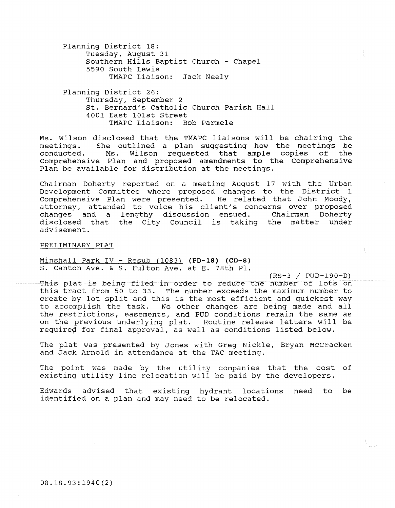Planning District 18: Tuesday, August 31 Southern Hills Baptist Church - Chapel 5590 South Lewis TMAPC Liaison: Jack Neely

Planning District 26: Thursday, September 2 st. Bernard's Catholic Church Parish Hall 4001 East 101st Street TMAPC Liaison: Bob Parmele

Ms. Wilson disclosed that the TMAPC liaisons will be chairing the meetings. She outlined a plan suggesting how the meetings be conducted. Ms. Wilson requested that ample copies of the Comprehensive Plan and proposed amendments to the Comprehensive Plan be available for distribution at the meetings.

Chairman Doherty reported on a meeting August 17 with the Urban Development Committee where proposed changes to the District 1<br>Comprehensive Plan were presented. He related that John Moody, Comprehensive Plan were presented. attorney, attended to voice his client's concerns over proposed changes and a lengthy discussion ensued. Chairman Doherty disclosed that the City council is taking the matter under advisement.

#### PRELIMINARY PLAT

Minshall Park IV - Resub (1083) **(PD-18)** {CD-8) S. Canton Ave. & S. Fulton Ave. at E. 78th Pl.

(RS-3 / PUD-190-D) This plat is being filed in order to reduce the number of lots on this tract from 50 to 33. The number exceeds the maximum number to create by lot split and this is the most efficient and quickest way to accomplish the task. No other changes are being made and all the restrictions, easements, and PUD conditions remain the same as on the previous underlying plat. Routine release letters will be required for final approval, as well as conditions listed below.

The plat was presented by Jones with Greg Nickle, Bryan McCracken and Jack Arnold in attendance at the TAC meeting.

The point was made by the utility companies that the cost of existing utility line relocation will be paid by the developers.

Edwards advised that existing hydrant locations need to be identified on a plan and may need to be relocated.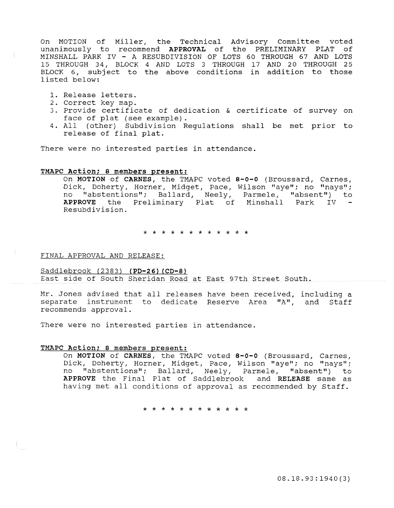On MOTION of Miller, the Technical Advisory Committee voted unanimously to recommend APPROVAL of the PRELIMINARY PLAT of MINSHALL PARK IV - A RESUBDIVISION OF LOTS 60 THROUGH 67 AND LOTS 15 THROUGH 34, BLOCK 4 AND LOTS 3 THROUGH 17 AND 20 THROUGH 25 BLOCK 6, subject to the above conditions in addition to those listed below:

- 1. Release letters.
- 2. Correct key map.
- 3. Provide certificate of dedication & certificate of survey on face of plat (see example).
- 4. All (other) Subdivision Regulations shall be met prior to release of final plat.

There were no interested parties in attendance.

# TMAPC Action; 8 members present:

On MOTION of CARNES, the TMAPC voted 8-0-0 (Broussard, Carnes, *Dick,* Doherty, Horner, Midget, Pace, Wilson "aye"; no "nays"; no "abstentions"; Ballard, Neely, Parmele, "absent") to APPROVE the Preliminary Plat of Minshall Park IV Resubdivision.

\* \* \* \* \* \* \* \* \* \* \* \*

FINAL APPROVAL AND RELEASE:

Saddlebrook (2383) (PD-26) (CD-8) East side of South Sheridan Road at East 97th Street South.

Mr. Jones advised that all releases have been received, including a separate instrument to dedicate Reserve Area "A", and Staff recommends approval.

There were no interested parties in attendance.

## TMAPC Action; 8 members present:

On MOTION of CARNES, the TMAPC voted 8-0-0 (Broussard, Carnes, Dick, Doherty, Horner, Midget, Pace, Wilson "aye"; no "nays";<br>no "abstentions": Ballard, Neely, Parmele, "absent") to "abstentions"; Ballard, Neely, Parmele, "absent") to APPROVE the Final Plat of Saddlebrook and RELEASE same as having met all conditions of approval as recommended by Staff.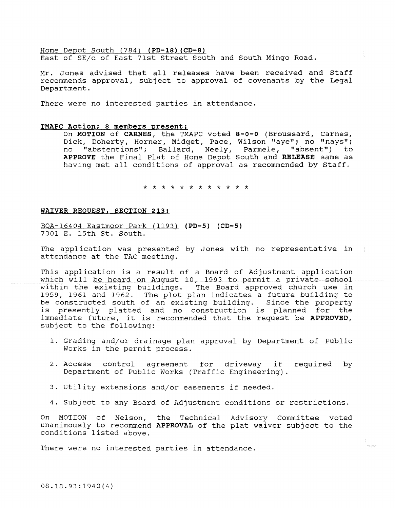Home Depot South (784) (PD-18) (CD-8) East of SE/c of East 71st Street South and South Mingo Road.

Mr. Jones advised that all releases have been received and Staff recommends approval, subject to approval of covenants by the Legal Department.

There were no interested parties in attendance.

### TMAPC Action; 8 members present:

On MOTION of CARNES, the TMAPC voted 8-o-o (Broussard, Carnes, Dick, Doherty, Horner, Midget, Pace, Wilson "aye"; no "nays"; no "abstentions"; Ballard, Neely, Parmele, "absent") to APPROVE the Final Plat of Home Depot South and RELEASE same as having met all conditions of approval as recommended by Staff.

\* \* \* \* \* \* \* \* \* \* \* \*

## WAIVER REQUEST, SECTION 213:

BOA-16404 Eastmoor Park (1193) (PD-5) (CD-S) 7301 E. 15th St. South.

The application was presented by Jones with no representative in attendance at the TAC meeting.

This application is a result of a Board of Adjustment application which will be heard on August 10, 1993 to permit a private school within the existing buildings. The Board approved church use in 1959, 1961 and 1962. The plot plan indicates a future building to be constructed south of an existing building. Since the property is presently platted and no construction is planned for the immediate future, it is recommended that the request be APPROVED, subject to the following:

- 1. Grading and/or drainage plan approval by Department of Public Works in the permit process.
- 2. Access control agreement for driveway if required by Department of Public Works (Traffic Engineering) .
- 3. Utility extensions and/or easements if needed.
- 4. Subject to any Board of Adjustment conditions or restrictions.

On MOTION of Nelson, the Technical Advisory Committee voted unanimously to recommend APPROVAL of the plat waiver subject to the conditions listed above.

There were no interested parties in attendance.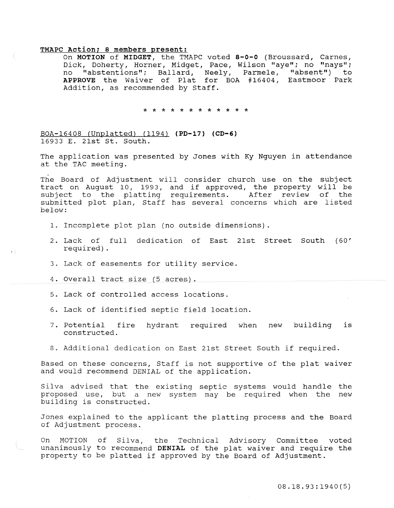# **TMAPC Action; 8 members present:**

On **MOTION of MIDGET,** the TMAPC voted **s-o-o** (Broussard, Carnes, Dick, Doherty, Horner, Midget, Pace, Wilson "aye"; no "nays"; no "abstentions"; Ballard, Neely, Parmele, "absent") to **APPROVE** the Waiver of Plat for BOA #16404, Eastmoor Park Addition, as recommended by Staff.

\* \* \* \* \* \* \* \* \* \* \* \*

BOA-164 08 (Unplatted) ( 1194) ( **PD-17) (CD-6)**  16933 E. 21st St. South.

The application was presented by Jones with Ky Nguyen in attendance at the TAC meeting.

The Board of Adjustment will consider church use on the subject tract on August 10, 1993, and if approved, the property will be subject to the platting requirements. After review of the submitted plot plan, Staff has several concerns which are listed below:

- 1. Incomplete plot plan (no outside dimensions).
- 2 . Lack of full dedication of East 21st Street South (60' required).
- 3. Lack of easements for utility service.
- 4. Overall tract size (5 acres).

s í

- 5. Lack of controlled access locations.
- 6. Lack of identified septic field location.
- 7 . Potential fire hydrant required when new building is constructed.
- 8. Additional dedication on East 21st Street South if required.

Based on these concerns, Staff is not supportive of the plat waiver and would recommend DENIAL of the application.

Silva advised that the existing septic systems would handle the proposed use, but a new system may be required when the new building is constructed.

Jones explained to the applicant the platting process and the Board of Adjustment process.

On MOTION of Silva, the Technical Advisory Committee voted unanimously to recommend **DENIAL** of the plat waiver and require the property to be platted if approved by the Board of Adjustment.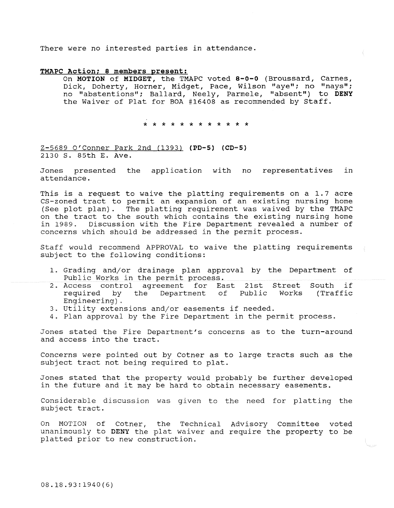There were no interested parties in attendance.

### **TMAPC Action; 8 members present:**

On **MOTION of MIDGET,** the TMAPC voted **s-o-o** (Broussard, Carnes, Dick, Doherty, Horner, Midget, Pace, Wilson "aye"; no "nays"; no "abstentions"; Ballard, Neely, Parmele, "absent") to **DENY**  the Waiver of Plat for BOA #16408 as recommended by Staff.

\* \* \* \* \* \* \* \* \* \* \* \*

Z-5689 O'Conner Park 2nd (1393) **(PD-5) (CD-5)**  2130 s. 85th E. Ave.

Jones presented the application with no representatives in attendance.

This is a request to waive the platting requirements on a 1.7 acre CS-zoned tract to permit an expansion of an existing nursing home (See plot plan). The platting requirement was waived by the TMAPC on the tract to the south which contains the existing nursing home<br>in 1989. Discussion with the Fire Department revealed a number of Discussion with the Fire Department revealed a number of concerns which should be addressed in the permit process.

Staff would recommend APPROVAL to waive the platting requirements subject to the following conditions:

- 1. Grading and/or drainage plan approval by the Department of Public Works in the permit process.
- 2. Access control agreement for East 21st Street South if<br>required by the Department of Public Works (Traffic required by the Department of Public Works (Traffic Engineering) .
- 3. Utility extensions and/or easements if needed.
- 4. Plan approval by the Fire Department in the permit process.

Jones stated the Fire Department's concerns as to the turn-around and access into the tract.

Concerns were pointed out by Cotner as to large tracts such as the subject tract not being required to plat.

Jones stated that the property would probably be further developed in the future and it may be hard to obtain necessary easements.

Considerable discussion was given to the need for platting the subject tract.

On MOTION of Cotner, the Technical Advisory Committee voted unanimously to DENY the plat waiver and require the property to be platted prior to new construction.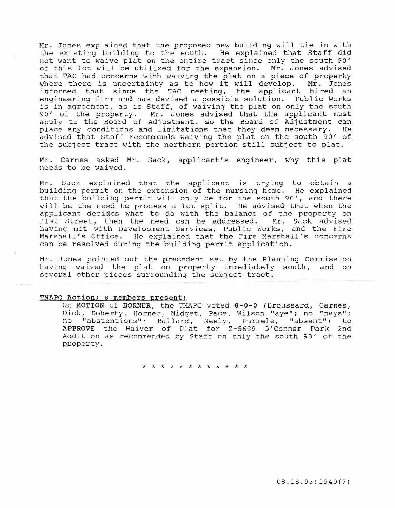Mr. Jones explained that the proposed new building will tie in with the existing building to the south. He explained that Staff did not want to waive plat on the entire tract since only the south 90' of this lot will be utilized for the expansion. Mr. Jones advised that TAC had concerns with waiving the plat on a piece of property<br>where there is uncertainty as to how it will develop. Mr. Jones where there is uncertainty as to how it will develop. informed that since the TAC meeting, the applicant hired an engineering firm and has devised a possible solution. Public Works is in agreement, as is Staff, of waiving the plat on only the south 90' of the property. Mr. Jones advised that the applicant must apply to the Board of Adjustment, so the Board of Adjustment can place any conditions and limitations that they deem necessary. He advised that Staff recommends waiving the plat on the south 90' of the subject tract with the northern portion still subject to plat.

Mr. Carnes asked Mr. Sack, applicant's engineer, why this plat needs to be waived.

Mr. Sack explained that the applicant is trying to obtain a building permit on the extension of the nursing home. He explained that the building permit will only be for the south 90', and there will be the need to process a lot split. He advised that when the applicant decides what to do with the balance of the property on<br>21st Street, then the need can be addressed. Mr. Sack advised 21st Street, then the need can be addressed. having met with Development Services, Public Works, and the Fire Marshall's Office. He explained that the Fire Marshall's concerns can be resolved during the building permit application.

Mr. Jones pointed out the precedent set by the Planning Commission having waived the plat on property immediately south, and on several other pieces surrounding the subject tract.

#### TMAPC Action; 8 members present:

On MOTION of HORNER, the TMAPC voted 8-0-0 (Broussard, Carnes, Dick, Doherty, Horner, Midget, Pace, Wilson "aye"; no "nays"; no "abstentions"; Ballard, Neely, Parmele, "absent") to APPROVE the Waiver of Plat for Z-5689 O'Conner Park 2nd Addition as recommended by Staff on only the south 90' of the property.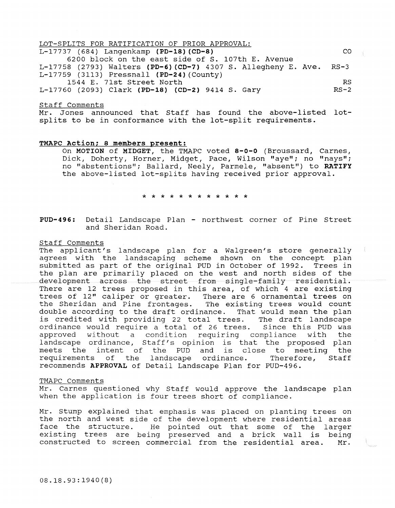| LOT-SPLITS FOR RATIFICATION OF PRIOR APPROVAL:                      |        |  |  |  |  |  |  |
|---------------------------------------------------------------------|--------|--|--|--|--|--|--|
| L-17737 (684) Langenkamp (PD-18) (CD-8)                             |        |  |  |  |  |  |  |
| 6200 block on the east side of S. 107th E. Avenue                   |        |  |  |  |  |  |  |
| L-17758 (2793) Walters (PD-6) (CD-7) 4307 S. Allegheny E. Ave. RS-3 |        |  |  |  |  |  |  |
| $L-17759$ (3113) Pressnall (PD-24) (County)                         |        |  |  |  |  |  |  |
| 1544 E. 71st Street North                                           |        |  |  |  |  |  |  |
| L-17760 (2093) Clark (PD-18) (CD-2) 9414 S. Gary                    | $RS-2$ |  |  |  |  |  |  |

#### **Staff Comments**

Mr. Jones announced that Staff has found the above-listed lotsplits to be in conformance with the lot-split requirements.

#### **TMAPC Action; 8 members present:**

On **MOTION of MIDGET,** the TMAPC voted **8-o-o** (Broussard, Carnes, Dick, Doherty, Horner, Midget, Pace, Wilson "aye"; no "nays"; no "abstentions"; Ballard, Neely, Parmele, "absent") to **RATIFY**  the above-listed lot-splits having received prior approval.

\* \* \* \* \* \* \* \* \* \* \* \*

**PUD-496:** Detail Landscape Plan - northwest corner of Pine street and Sheridan Road.

### Staff Comments

The applicant's landscape plan for a Walgreen's store generally agrees with the landscaping scheme shown on the concept plan submitted as part of the original PUD in October of 1992. Trees in the plan are primarily placed on the west and north sides of the development across the street from single~family residential. There are 12 trees proposed in this area, of which 4 are existing trees of 12" caliper or greater. There are 6 ornamental trees on<br>the Sheridan and Pine frontages. The existing trees would count the Sheridan and Pine frontages. double according to the draft ordinance. That would mean the plan<br>is credited with providing 22 total trees. The draft landscape is credited with providing 22 total trees. ordinance would require a total of 26 trees. Since this PUD was<br>approved without a condition requiring compliance with the without a condition requiring compliance with the landscape ordinance, Staff's opinion is that the proposed plan meets the intent of the PUD and is close to meeting the<br>requirements of the landscape ordinance. Therefore, Staff requirements of the landscape ordinance. Therefore, recommends **APPROVAL** of Detail Landscape Plan for PUD-496.

### TMAPC Comments

Mr. Carnes questioned why Staff would approve the landscape plan when the application is four trees short of compliance.

Mr. Stump explained that emphasis was placed on planting trees on the north and west side of the development where residential areas face the structure. He pointed out that some of the larger existing trees are being preserved and a brick wall is being constructed to screen commercial from the residential area. Mr.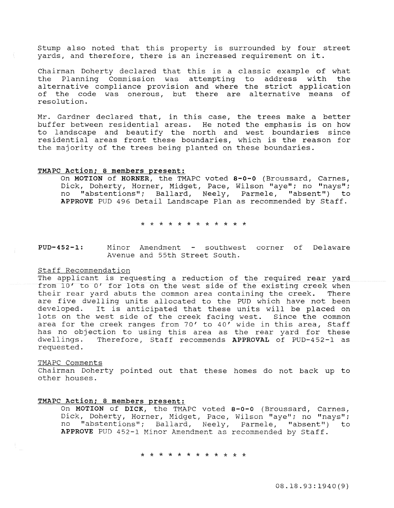Stump also noted that this property is surrounded by four street yards, and therefore, there is an increased requirement on it.

Chairman Doherty declared that this is a classic example of what the Planning Commission was attempting to address with the alternative compliance provision and where the strict application of the code was onerous, but there are alternative means of resolution.

Mr. Gardner declared that, in this case, the trees make a better buffer between residential areas. He noted the emphasis is on how to landscape and beautify the north and west boundaries since residential areas front these boundaries, which is the reason for the majority of the trees being planted on these boundaries.

## TMAPC Action; 8 members present:

On MOTION of HORNER, the TMAPC voted 8-0-0 (Broussard, Carnes, Dick, Doherty, Horner, Midget, Pace, Wilson "aye"; no "nays"; no "abstentions"; Ballard, Neely, Parmele, "absent") to APPROVE PUD 496 Detail Landscape Plan as recommended by Staff.

\* \* \* \* \* \* \* \* \* \* \* \*

**PUD-452-1:** Minor Amendment - southwest corner of Delaware Avenue and 55th street South.

### Staff Recommendation

The applicant is requesting a reduction of the required rear yard from 10' to 0' for lots on the west side of the existing creek when their rear yard abuts the common area containing the creek. There are five dwelling units allocated to the PUD which have not been<br>developed. It is anticipated that these units will be placed on It is anticipated that these units will be placed on lots on the west side of the creek facing west. Since the common area for the creek ranges from 70' to 40' wide in this area, Staff has no objection to using this area as the rear yard for these dwellings. Therefore, Staff recommends APPROVAL of PUD-452-1 as requested.

#### TMAPC Comments

Chairman Doherty pointed out that these homes do not back up to other houses.

## TMAPC Action; 8 members present:

On MOTION of DICK, the TMAPC voted 8-0-0 (Broussard, Carnes, Dick, Doherty, Horner, Midget, Pace, Wilson "aye"; no "nays"; no "abstentions"; Ballard, Neely, Parmele, "absent") to APPROVE PUD 452-1 Minor Amendment as recommended by Staff.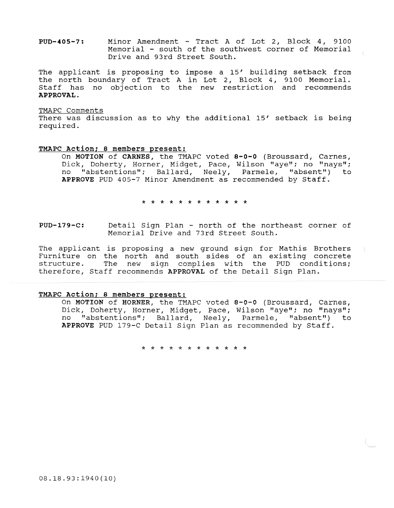PUD-405-7: Minor Amendment - Tract A of Lot 2, Block 4, 9100 Memorial - south of the southwest corner of Memorial Drive and 93rd Street South.

The applicant is proposing to impose a 15' building setback from the north boundary of Tract A in Lot 2, Block 4, 9100 Memorial. Staff has no objection to the new restriction and recommends APPROVAL.

#### TMAPC Comments

There was discussion as to why the additional 15' setback is being required.

### TMAPC Action; 8 members present:

On MOTION of CARNES, the TMAPC voted 8-0-0 (Broussard, Carnes, Dick, Doherty, Horner, Midget, Pace, Wilson "aye"; no "nays"; no "abstentions"; Ballard, Neely, Parmele, "absent") to APPROVE PUD 405-7 Minor Amendment as recommended by Staff.

\* \* \* \* \* \* \* \* \* \* \* \*

PUD-179-C: Detail Sign Plan - north of the northeast corner of Memorial Drive and 73rd Street South.

Tne applicant is proposing a new ground sign for Mathis Brothers Furniture on the north and south sides of an existing concrete structure. The new sign complies with the PUD conditions; therefore, Staff recommends APPROVAL of the Detail Sign Plan.

## TMAPC Action; 8 members present:

On MOTION of HORNER, the TMAPC voted 8-0-0 (Broussard, Carnes, Dick, Doherty, Horner, Midget, Pace, Wilson "aye"; no "nays"; no "abstentions"; Ballard, Neely, Parmele, "absent") to APPROVE PUD 179-C Detail Sign Plan as recommended by Staff.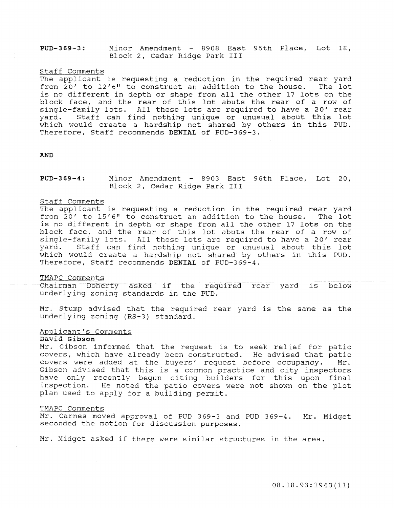PUD-369-3: Minor Amendment - 8908 East 95th Place, Lot 18, Block 2, Cedar Ridge Park III

#### Staff Comments

The applicant is requesting a reduction in the required rear yard from  $20'$  to  $12'6''$  to construct an addition to the house. The lot is no different in depth or shape from all the other 17 lots on the block face, and the rear of this lot abuts the rear of a row of single-family lots. All these lots are required to have a 20' rear<br>vard. Staff can find nothing unique or unusual about this lot Staff can find nothing unique or unusual about this lot which would create a hardship not shared by others in this PUD. Therefore, Staff recommends **DENIAL** of PUD-369-3.

#### AND

## PUD-369-4: Minor Amendment - 8903 East 96th Place, Lot 20, Block 2, Cedar Ridge Park III

## Staff Comments

The applicant is requesting a reduction in the required rear yard from  $20'$  to  $15'6''$  to construct an addition to the house. The lot is no different in depth or shape from all the other 17 lots on the block face, and the rear of this lot abuts the rear of a row of single-family lots. All these lots are required to have a 20' rear yard. Staff can find nothing unique or unusual about this lot which would create a hardship not shared by others in this PUD. Therefore, Staff recommends DENIAL of PUD-369-4.

#### TMAPC Comments

Chairman Doherty asked if the required rear yard is below underlying zoning standards in the PUD.

Mr. Stump advised that the required rear yard is the same as the underlying zoning (RS-3) standard.

# Applicant's Comments

### David Gibson

Mr. Gibson informed that the request is to seek relief for patio covers, which have already been constructed. He advised that patio covers were added at the buyers' request before occupancy. Mr. Gibson advised that this is a common practice and city inspectors have only recently begun citing builders for this upon final inspection. He noted the patio covers were not shown on the plot plan used to apply for a building permit.

## TMAPC Comments

Mr. Carnes moved approval of PUD 369-3 and PUD 369-4. Mr. Midget seconded the motion for discussion purposes.

Mr. Midget asked if there were similar structures in the area.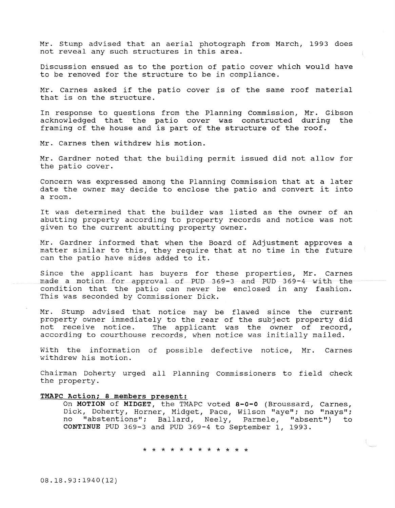Mr. Stump advised that an aerial photograph from March, 1993 does not reveal any such structures in this area.

Discussion ensued as to the portion of patio cover which would have to be removed for the structure to be in compliance.

Mr. Carnes asked if the patio cover is of the same roof material that is on the structure.

In response to questions from the Planning Commission, Mr. Gibson acknowledged that the patio cover was constructed during framing of the house and is part of the structure of the roof.

Mr. Carnes then withdrew his motion.

Mr. Gardner noted that the building permit issued did not allow for the patio cover.

Concern was expressed among the Planning Commission that at a later date the owner may decide to enclose the patio and convert it into a room.

It was determined that the builder was listed as the owner of an abutting property according to property records and notice was not given to the current abutting property owner.

Mr. Gardner informed that when the Board of Adjustment approves a matter similar to this, they require that at no time in the future can the patio have sides added to it.

Since the applicant has buyers for these properties, Mr. Carnes made a motion for approval of PUD 369-3 and PUD 369-4 with the condition that the patio can never be enclosed in any fashion. This was seconded by Commissioner Dick.

Mr. Stump advised that notice may be flawed since the current property owner immediately to the rear of the subject property did<br>not receive notice. The applicant was the owner of record, The applicant was the owner of record, according to courthouse records, when notice was initially mailed.

With the information of possible defective notice, Mr. Carnes withdrew his motion.

Chairman Doherty urged all Planning Commissioners to field check the property.

### **TMAPC Action; 8 members present:**

On **MOTION of MIDGET,** the TMAPC voted **8-0-0** (Broussard, Carnes, Dick, Doherty, Horner, Midget, Pace, Wilson "aye"; no "nays"; no "abstentions"; Ballard, Neely, Parmele, "absent") to CONTINUE PUD 369-3 and PUD 369-4 to September 1, 1993.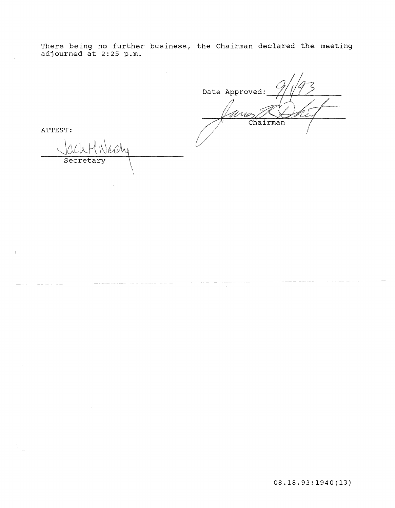There being no further business, the Chairman declared the meeting adjourned at 2:25 p.m.

Date Approved: حمدا Chairman

ATTEST:

 $\ell$ hi Secretar  $\setminus$